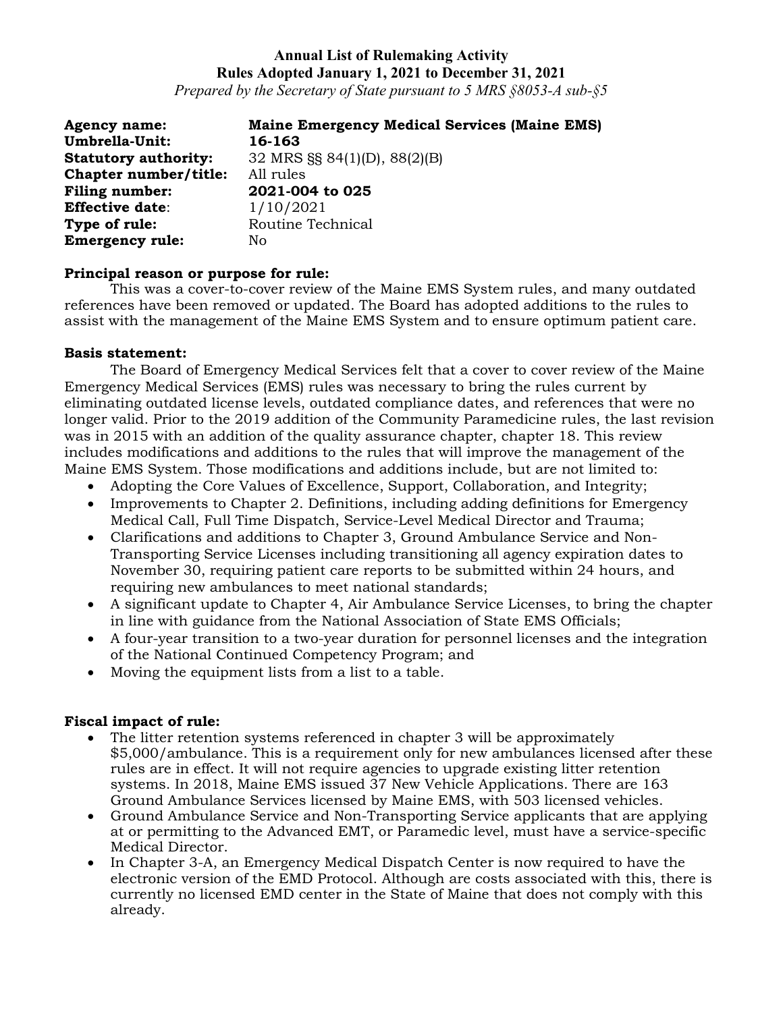*Prepared by the Secretary of State pursuant to 5 MRS §8053-A sub-§5*

| <b>Agency name:</b>         | <b>Maine Emergency Medical Services (Maine EMS)</b> |
|-----------------------------|-----------------------------------------------------|
| Umbrella-Unit:              | 16-163                                              |
| <b>Statutory authority:</b> | 32 MRS §§ 84(1)(D), 88(2)(B)                        |
| Chapter number/title:       | All rules                                           |
| <b>Filing number:</b>       | 2021-004 to 025                                     |
| <b>Effective date:</b>      | 1/10/2021                                           |
| Type of rule:               | Routine Technical                                   |
| <b>Emergency rule:</b>      | No                                                  |

### **Principal reason or purpose for rule:**

This was a cover-to-cover review of the Maine EMS System rules, and many outdated references have been removed or updated. The Board has adopted additions to the rules to assist with the management of the Maine EMS System and to ensure optimum patient care.

### **Basis statement:**

The Board of Emergency Medical Services felt that a cover to cover review of the Maine Emergency Medical Services (EMS) rules was necessary to bring the rules current by eliminating outdated license levels, outdated compliance dates, and references that were no longer valid. Prior to the 2019 addition of the Community Paramedicine rules, the last revision was in 2015 with an addition of the quality assurance chapter, chapter 18. This review includes modifications and additions to the rules that will improve the management of the Maine EMS System. Those modifications and additions include, but are not limited to:

- Adopting the Core Values of Excellence, Support, Collaboration, and Integrity;
- Improvements to Chapter 2. Definitions, including adding definitions for Emergency Medical Call, Full Time Dispatch, Service-Level Medical Director and Trauma;
- Clarifications and additions to Chapter 3, Ground Ambulance Service and Non-Transporting Service Licenses including transitioning all agency expiration dates to November 30, requiring patient care reports to be submitted within 24 hours, and requiring new ambulances to meet national standards;
- A significant update to Chapter 4, Air Ambulance Service Licenses, to bring the chapter in line with guidance from the National Association of State EMS Officials;
- A four-year transition to a two-year duration for personnel licenses and the integration of the National Continued Competency Program; and
- Moving the equipment lists from a list to a table.

### **Fiscal impact of rule:**

- The litter retention systems referenced in chapter 3 will be approximately \$5,000/ambulance. This is a requirement only for new ambulances licensed after these rules are in effect. It will not require agencies to upgrade existing litter retention systems. In 2018, Maine EMS issued 37 New Vehicle Applications. There are 163 Ground Ambulance Services licensed by Maine EMS, with 503 licensed vehicles.
- Ground Ambulance Service and Non-Transporting Service applicants that are applying at or permitting to the Advanced EMT, or Paramedic level, must have a service-specific Medical Director.
- In Chapter 3-A, an Emergency Medical Dispatch Center is now required to have the electronic version of the EMD Protocol. Although are costs associated with this, there is currently no licensed EMD center in the State of Maine that does not comply with this already.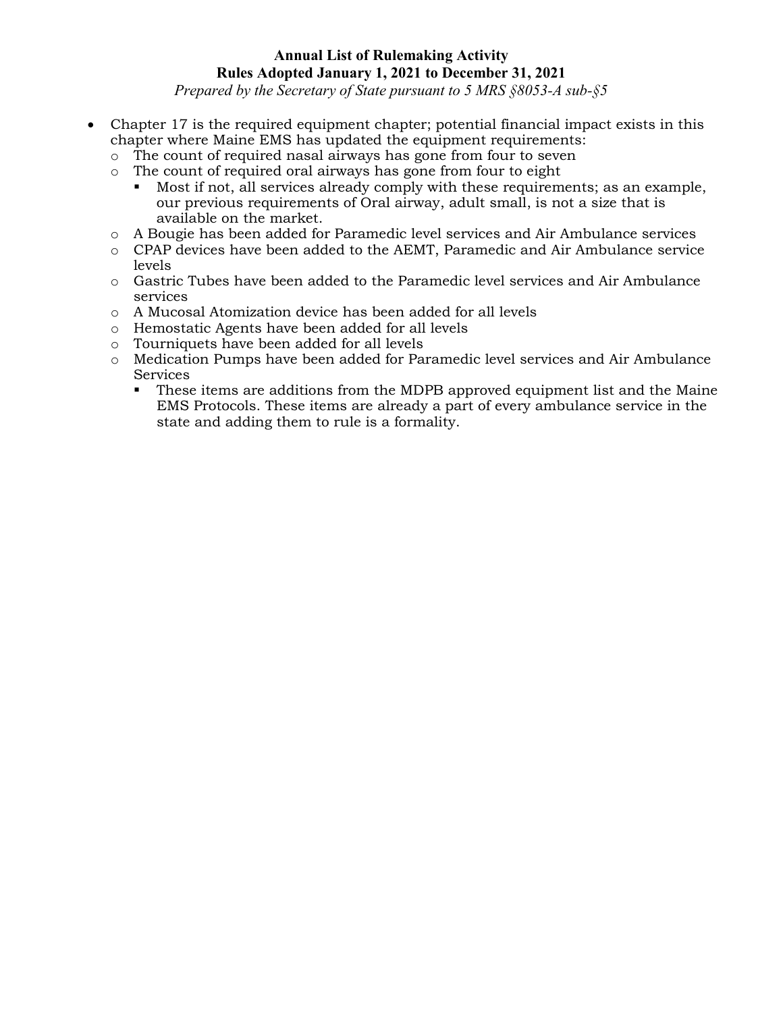*Prepared by the Secretary of State pursuant to 5 MRS §8053-A sub-§5*

- Chapter 17 is the required equipment chapter; potential financial impact exists in this chapter where Maine EMS has updated the equipment requirements:
	- o The count of required nasal airways has gone from four to seven
	- o The count of required oral airways has gone from four to eight
		- Most if not, all services already comply with these requirements; as an example, our previous requirements of Oral airway, adult small, is not a size that is available on the market.
	- o A Bougie has been added for Paramedic level services and Air Ambulance services
	- o CPAP devices have been added to the AEMT, Paramedic and Air Ambulance service levels
	- o Gastric Tubes have been added to the Paramedic level services and Air Ambulance services
	- o A Mucosal Atomization device has been added for all levels
	- o Hemostatic Agents have been added for all levels
	- o Tourniquets have been added for all levels
	- o Medication Pumps have been added for Paramedic level services and Air Ambulance Services
		- These items are additions from the MDPB approved equipment list and the Maine EMS Protocols. These items are already a part of every ambulance service in the state and adding them to rule is a formality.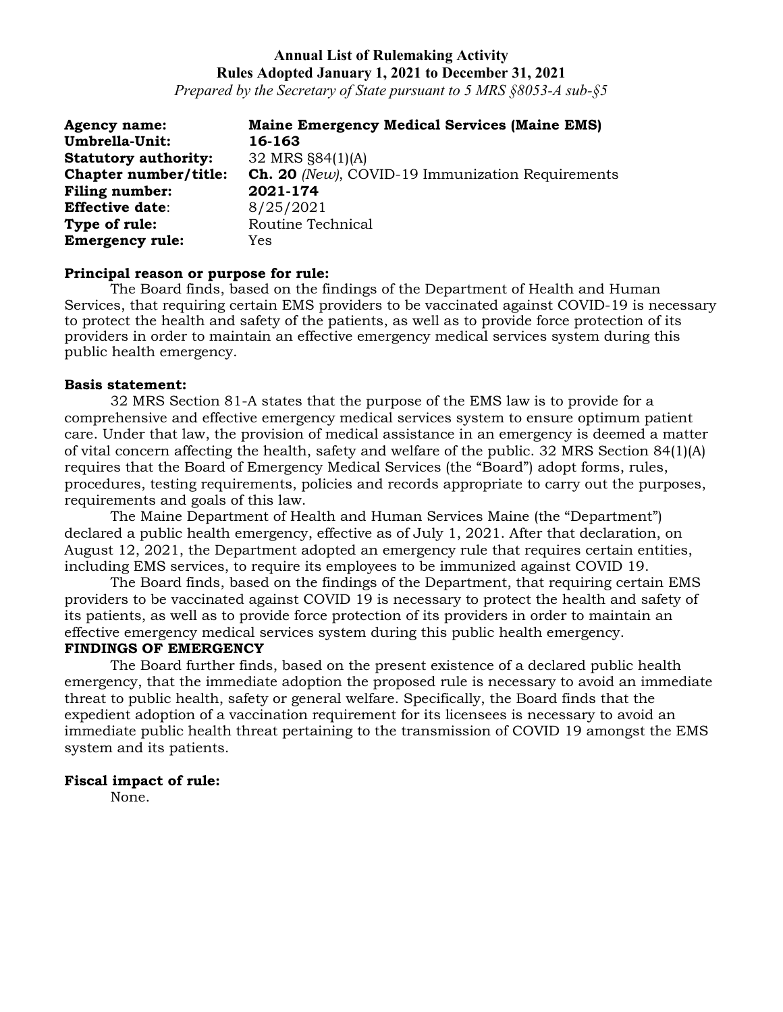*Prepared by the Secretary of State pursuant to 5 MRS §8053-A sub-§5*

| <b>Agency name:</b>         | <b>Maine Emergency Medical Services (Maine EMS)</b>     |
|-----------------------------|---------------------------------------------------------|
| Umbrella-Unit:              | 16-163                                                  |
| <b>Statutory authority:</b> | 32 MRS §84(1)(A)                                        |
| Chapter number/title:       | <b>Ch. 20</b> (New), COVID-19 Immunization Requirements |
| <b>Filing number:</b>       | 2021-174                                                |
| <b>Effective date:</b>      | 8/25/2021                                               |
| Type of rule:               | Routine Technical                                       |
| <b>Emergency rule:</b>      | Yes                                                     |

#### **Principal reason or purpose for rule:**

The Board finds, based on the findings of the Department of Health and Human Services, that requiring certain EMS providers to be vaccinated against COVID-19 is necessary to protect the health and safety of the patients, as well as to provide force protection of its providers in order to maintain an effective emergency medical services system during this public health emergency.

#### **Basis statement:**

32 MRS Section 81-A states that the purpose of the EMS law is to provide for a comprehensive and effective emergency medical services system to ensure optimum patient care. Under that law, the provision of medical assistance in an emergency is deemed a matter of vital concern affecting the health, safety and welfare of the public. 32 MRS Section 84(1)(A) requires that the Board of Emergency Medical Services (the "Board") adopt forms, rules, procedures, testing requirements, policies and records appropriate to carry out the purposes, requirements and goals of this law.

The Maine Department of Health and Human Services Maine (the "Department") declared a public health emergency, effective as of July 1, 2021. After that declaration, on August 12, 2021, the Department adopted an emergency rule that requires certain entities, including EMS services, to require its employees to be immunized against COVID 19.

The Board finds, based on the findings of the Department, that requiring certain EMS providers to be vaccinated against COVID 19 is necessary to protect the health and safety of its patients, as well as to provide force protection of its providers in order to maintain an effective emergency medical services system during this public health emergency.

#### **FINDINGS OF EMERGENCY**

The Board further finds, based on the present existence of a declared public health emergency, that the immediate adoption the proposed rule is necessary to avoid an immediate threat to public health, safety or general welfare. Specifically, the Board finds that the expedient adoption of a vaccination requirement for its licensees is necessary to avoid an immediate public health threat pertaining to the transmission of COVID 19 amongst the EMS system and its patients.

#### **Fiscal impact of rule:**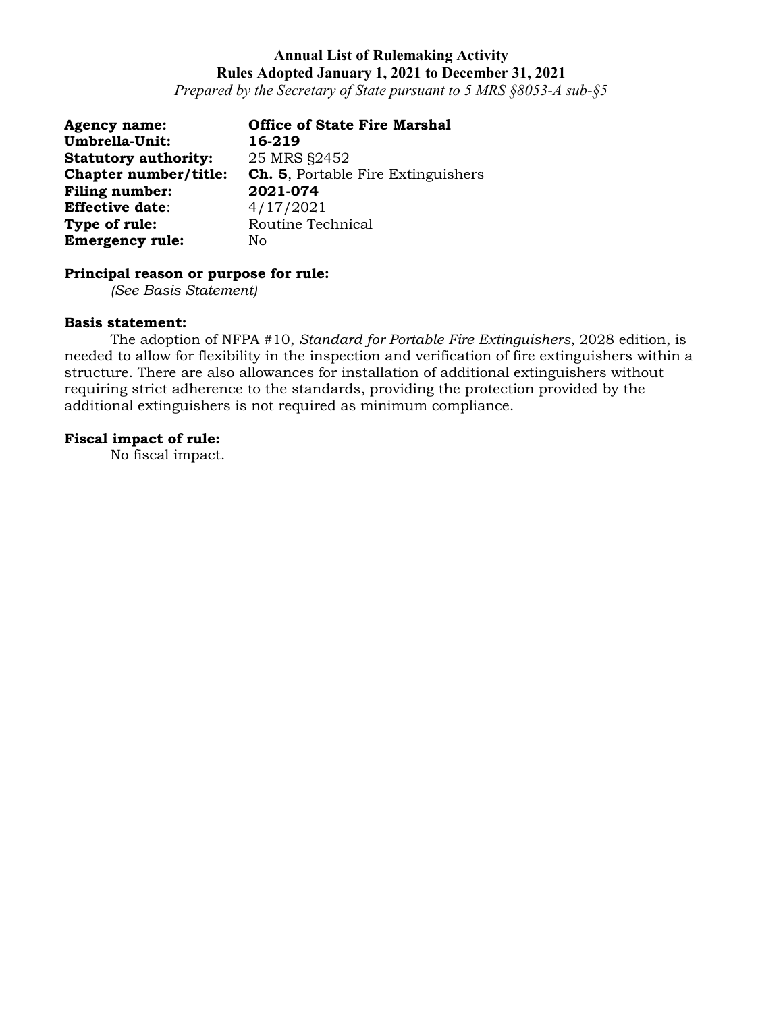*Prepared by the Secretary of State pursuant to 5 MRS §8053-A sub-§5*

| <b>Agency name:</b>         | <b>Office of State Fire Marshal</b>       |
|-----------------------------|-------------------------------------------|
| Umbrella-Unit:              | 16-219                                    |
| <b>Statutory authority:</b> | 25 MRS §2452                              |
| Chapter number/title:       | <b>Ch. 5.</b> Portable Fire Extinguishers |
| <b>Filing number:</b>       | 2021-074                                  |
| <b>Effective date:</b>      | 4/17/2021                                 |
| Type of rule:               | Routine Technical                         |
| <b>Emergency rule:</b>      | No                                        |

# **Principal reason or purpose for rule:**

*(See Basis Statement)*

#### **Basis statement:**

The adoption of NFPA #10, *Standard for Portable Fire Extinguishers*, 2028 edition, is needed to allow for flexibility in the inspection and verification of fire extinguishers within a structure. There are also allowances for installation of additional extinguishers without requiring strict adherence to the standards, providing the protection provided by the additional extinguishers is not required as minimum compliance.

### **Fiscal impact of rule:**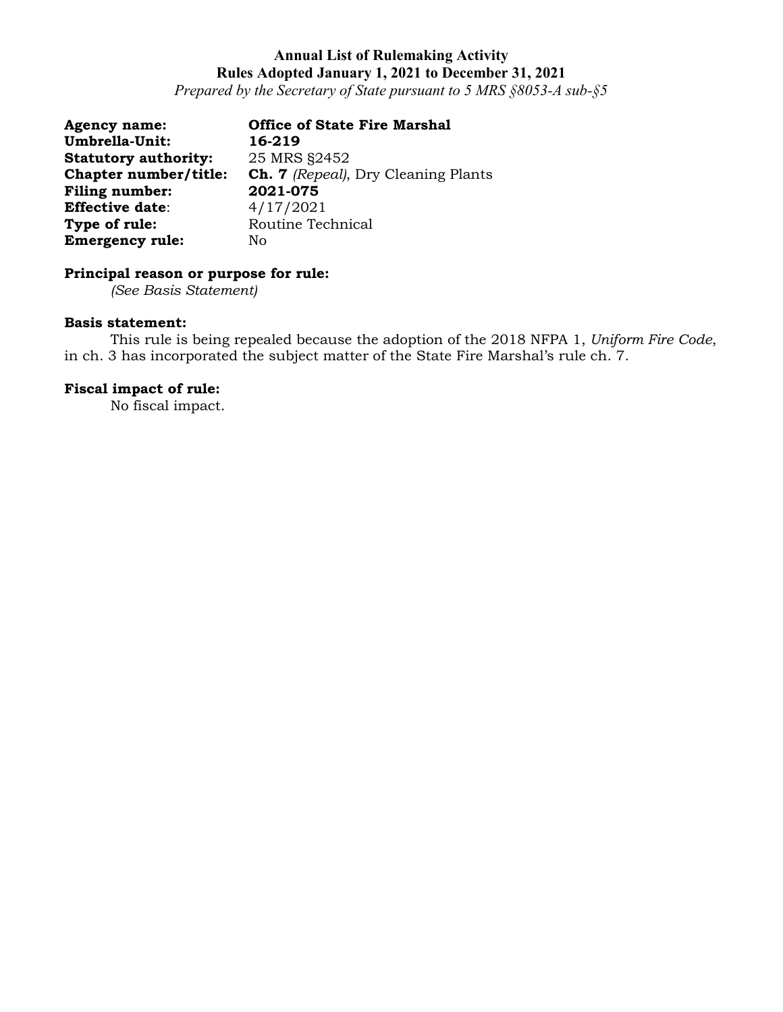*Prepared by the Secretary of State pursuant to 5 MRS §8053-A sub-§5*

| <b>Agency name:</b>         | <b>Office of State Fire Marshal</b>        |
|-----------------------------|--------------------------------------------|
| Umbrella-Unit:              | 16-219                                     |
| <b>Statutory authority:</b> | 25 MRS §2452                               |
| Chapter number/title:       | <b>Ch. 7</b> (Repeal), Dry Cleaning Plants |
| <b>Filing number:</b>       | 2021-075                                   |
| <b>Effective date:</b>      | 4/17/2021                                  |
| Type of rule:               | Routine Technical                          |
| <b>Emergency rule:</b>      | No.                                        |

# **Principal reason or purpose for rule:**

*(See Basis Statement)*

#### **Basis statement:**

This rule is being repealed because the adoption of the 2018 NFPA 1, *Uniform Fire Code*, in ch. 3 has incorporated the subject matter of the State Fire Marshal's rule ch. 7.

### **Fiscal impact of rule:**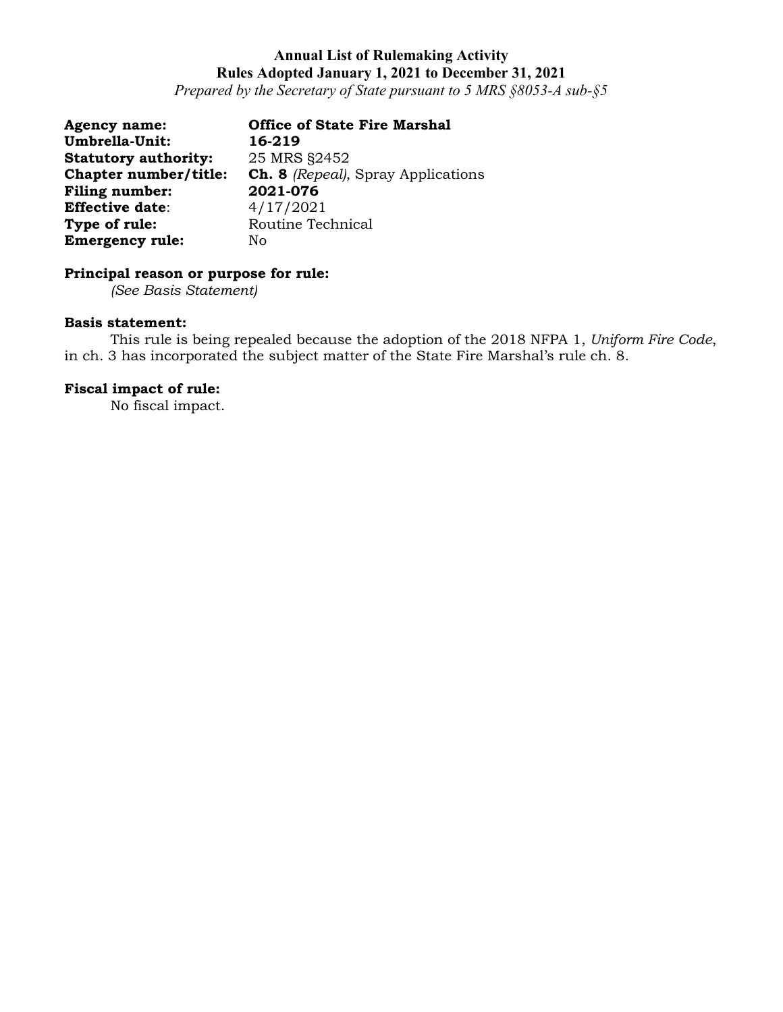*Prepared by the Secretary of State pursuant to 5 MRS §8053-A sub-§5*

| <b>Agency name:</b>         | <b>Office of State Fire Marshal</b>       |
|-----------------------------|-------------------------------------------|
| Umbrella-Unit:              | 16-219                                    |
| <b>Statutory authority:</b> | 25 MRS §2452                              |
| Chapter number/title:       | <b>Ch. 8</b> (Repeal), Spray Applications |
| <b>Filing number:</b>       | 2021-076                                  |
| <b>Effective date:</b>      | 4/17/2021                                 |
| Type of rule:               | Routine Technical                         |
| <b>Emergency rule:</b>      | No                                        |

# **Principal reason or purpose for rule:**

*(See Basis Statement)*

#### **Basis statement:**

This rule is being repealed because the adoption of the 2018 NFPA 1, *Uniform Fire Code*, in ch. 3 has incorporated the subject matter of the State Fire Marshal's rule ch. 8.

### **Fiscal impact of rule:**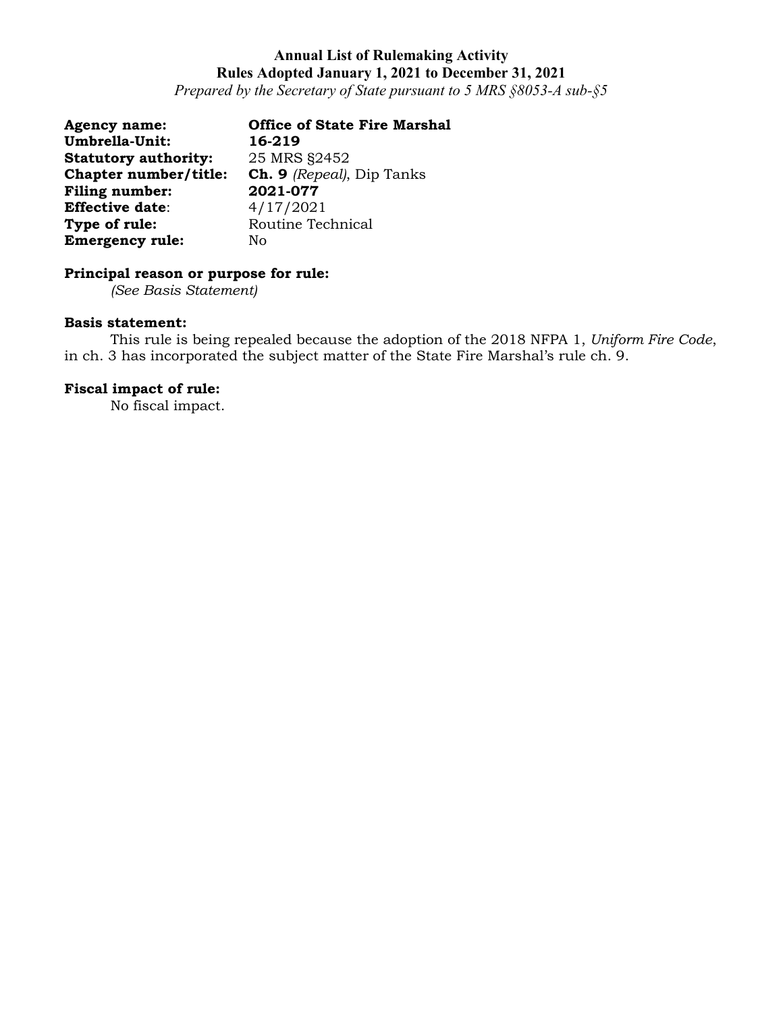*Prepared by the Secretary of State pursuant to 5 MRS §8053-A sub-§5*

| <b>Agency name:</b>         | <b>Office of State Fire Marshal</b> |
|-----------------------------|-------------------------------------|
| Umbrella-Unit:              | 16-219                              |
| <b>Statutory authority:</b> | 25 MRS §2452                        |
| Chapter number/title:       | <b>Ch. 9</b> (Repeal), Dip Tanks    |
| <b>Filing number:</b>       | 2021-077                            |
| <b>Effective date:</b>      | 4/17/2021                           |
| Type of rule:               | Routine Technical                   |
| <b>Emergency rule:</b>      | Nο                                  |

# **Principal reason or purpose for rule:**

*(See Basis Statement)*

#### **Basis statement:**

This rule is being repealed because the adoption of the 2018 NFPA 1, *Uniform Fire Code*, in ch. 3 has incorporated the subject matter of the State Fire Marshal's rule ch. 9.

### **Fiscal impact of rule:**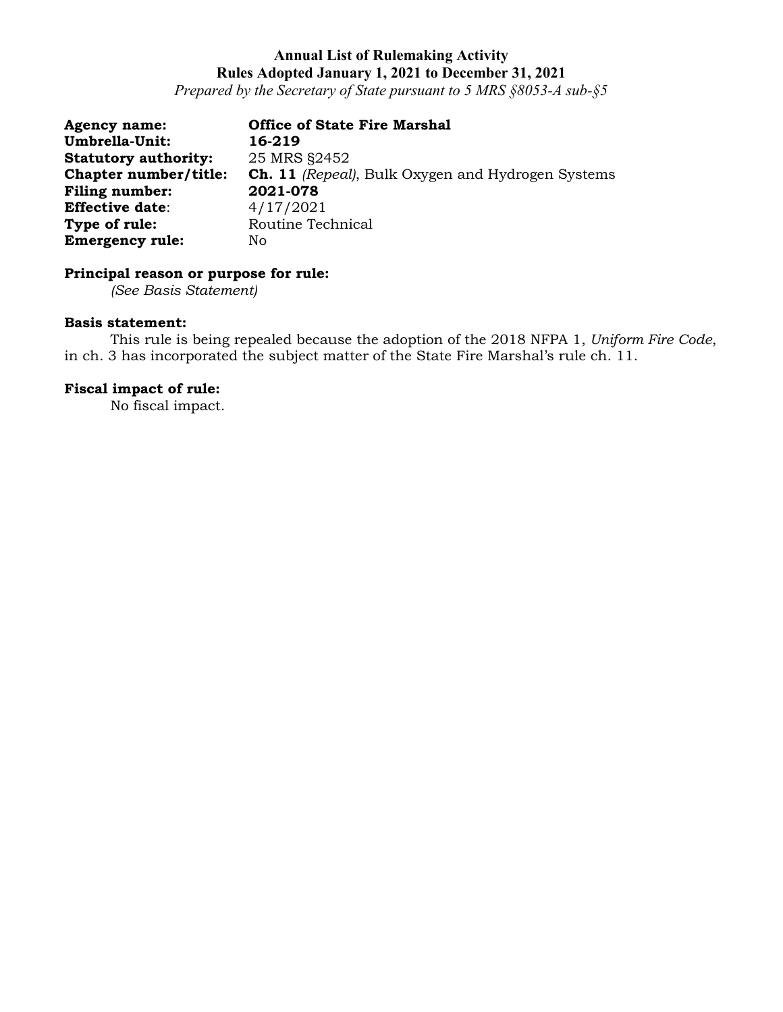*Prepared by the Secretary of State pursuant to 5 MRS §8053-A sub-§5*

| <b>Agency name:</b>         | <b>Office of State Fire Marshal</b>                      |
|-----------------------------|----------------------------------------------------------|
| Umbrella-Unit:              | 16-219                                                   |
| <b>Statutory authority:</b> | 25 MRS §2452                                             |
| Chapter number/title:       | <b>Ch. 11</b> (Repeal), Bulk Oxygen and Hydrogen Systems |
| <b>Filing number:</b>       | 2021-078                                                 |
| <b>Effective date:</b>      | 4/17/2021                                                |
| Type of rule:               | Routine Technical                                        |
| <b>Emergency rule:</b>      | No.                                                      |

# **Principal reason or purpose for rule:**

*(See Basis Statement)*

#### **Basis statement:**

This rule is being repealed because the adoption of the 2018 NFPA 1, *Uniform Fire Code*, in ch. 3 has incorporated the subject matter of the State Fire Marshal's rule ch. 11.

### **Fiscal impact of rule:**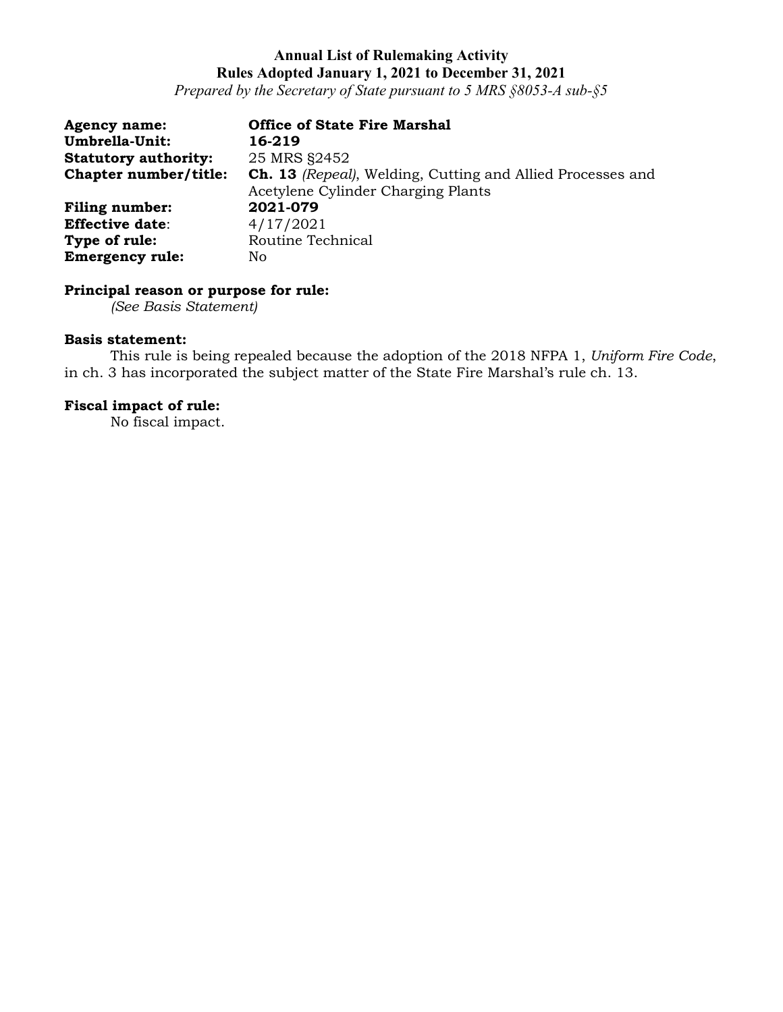*Prepared by the Secretary of State pursuant to 5 MRS §8053-A sub-§5*

| <b>Agency name:</b>         | <b>Office of State Fire Marshal</b>                                                                     |
|-----------------------------|---------------------------------------------------------------------------------------------------------|
| Umbrella-Unit:              | 16-219                                                                                                  |
| <b>Statutory authority:</b> | 25 MRS §2452                                                                                            |
| Chapter number/title:       | <b>Ch. 13</b> (Repeal), Welding, Cutting and Allied Processes and<br>Acetylene Cylinder Charging Plants |
| <b>Filing number:</b>       | 2021-079                                                                                                |
| <b>Effective date:</b>      | 4/17/2021                                                                                               |
| Type of rule:               | Routine Technical                                                                                       |
| <b>Emergency rule:</b>      | No.                                                                                                     |

# **Principal reason or purpose for rule:**

*(See Basis Statement)*

#### **Basis statement:**

This rule is being repealed because the adoption of the 2018 NFPA 1, *Uniform Fire Code*, in ch. 3 has incorporated the subject matter of the State Fire Marshal's rule ch. 13.

# **Fiscal impact of rule:**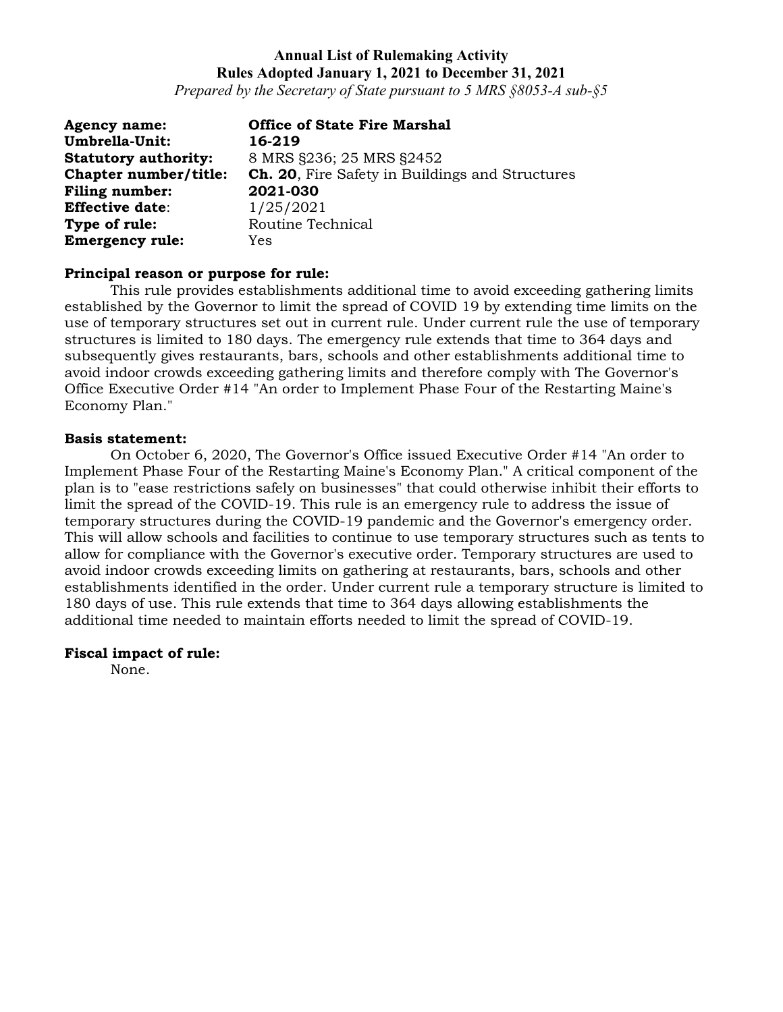*Prepared by the Secretary of State pursuant to 5 MRS §8053-A sub-§5*

| <b>Agency name:</b>         | <b>Office of State Fire Marshal</b>                    |
|-----------------------------|--------------------------------------------------------|
| <b>Umbrella-Unit:</b>       | 16-219                                                 |
| <b>Statutory authority:</b> | 8 MRS §236; 25 MRS §2452                               |
| Chapter number/title:       | <b>Ch. 20.</b> Fire Safety in Buildings and Structures |
| Filing number:              | 2021-030                                               |
| <b>Effective date:</b>      | 1/25/2021                                              |
| Type of rule:               | Routine Technical                                      |
| <b>Emergency rule:</b>      | Yes                                                    |

#### **Principal reason or purpose for rule:**

This rule provides establishments additional time to avoid exceeding gathering limits established by the Governor to limit the spread of COVID 19 by extending time limits on the use of temporary structures set out in current rule. Under current rule the use of temporary structures is limited to 180 days. The emergency rule extends that time to 364 days and subsequently gives restaurants, bars, schools and other establishments additional time to avoid indoor crowds exceeding gathering limits and therefore comply with The Governor's Office Executive Order #14 "An order to Implement Phase Four of the Restarting Maine's Economy Plan."

#### **Basis statement:**

On October 6, 2020, The Governor's Office issued Executive Order #14 "An order to Implement Phase Four of the Restarting Maine's Economy Plan." A critical component of the plan is to "ease restrictions safely on businesses" that could otherwise inhibit their efforts to limit the spread of the COVID-19. This rule is an emergency rule to address the issue of temporary structures during the COVID-19 pandemic and the Governor's emergency order. This will allow schools and facilities to continue to use temporary structures such as tents to allow for compliance with the Governor's executive order. Temporary structures are used to avoid indoor crowds exceeding limits on gathering at restaurants, bars, schools and other establishments identified in the order. Under current rule a temporary structure is limited to 180 days of use. This rule extends that time to 364 days allowing establishments the additional time needed to maintain efforts needed to limit the spread of COVID-19.

#### **Fiscal impact of rule:**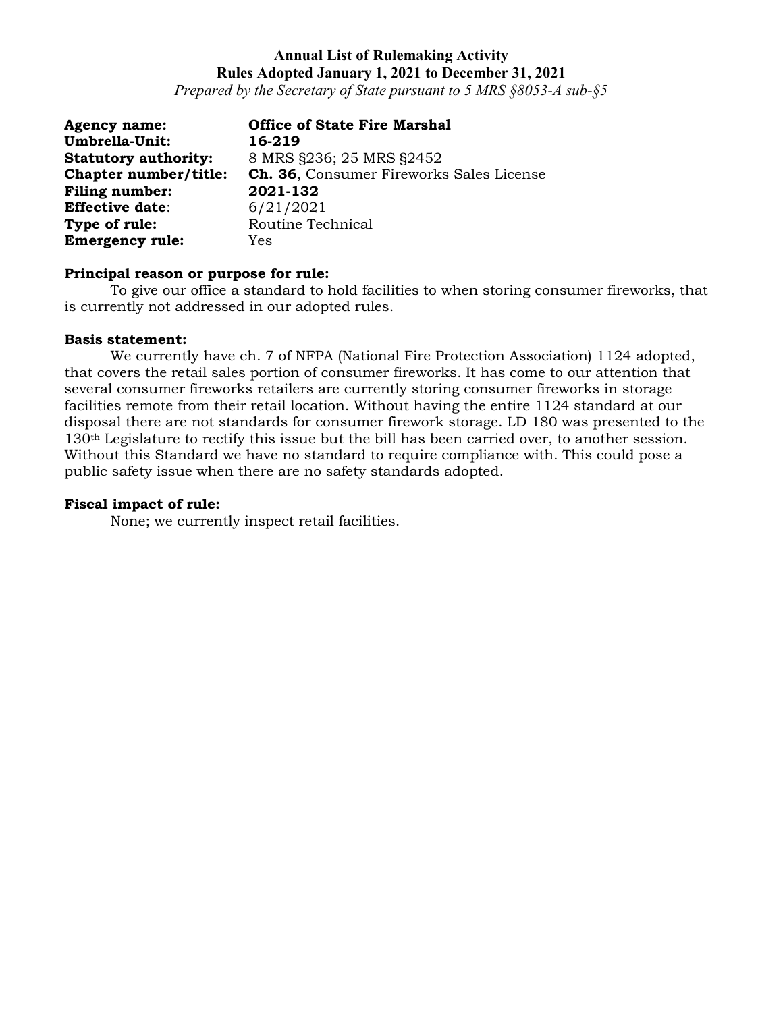*Prepared by the Secretary of State pursuant to 5 MRS §8053-A sub-§5*

| <b>Agency name:</b>         | <b>Office of State Fire Marshal</b>      |
|-----------------------------|------------------------------------------|
| Umbrella-Unit:              | 16-219                                   |
| <b>Statutory authority:</b> | 8 MRS §236; 25 MRS §2452                 |
| Chapter number/title:       | Ch. 36, Consumer Fireworks Sales License |
| <b>Filing number:</b>       | 2021-132                                 |
| <b>Effective date:</b>      | 6/21/2021                                |
| Type of rule:               | Routine Technical                        |
| <b>Emergency rule:</b>      | Yes                                      |

#### **Principal reason or purpose for rule:**

To give our office a standard to hold facilities to when storing consumer fireworks, that is currently not addressed in our adopted rules.

#### **Basis statement:**

We currently have ch. 7 of NFPA (National Fire Protection Association) 1124 adopted, that covers the retail sales portion of consumer fireworks. It has come to our attention that several consumer fireworks retailers are currently storing consumer fireworks in storage facilities remote from their retail location. Without having the entire 1124 standard at our disposal there are not standards for consumer firework storage. LD 180 was presented to the 130th Legislature to rectify this issue but the bill has been carried over, to another session. Without this Standard we have no standard to require compliance with. This could pose a public safety issue when there are no safety standards adopted.

#### **Fiscal impact of rule:**

None; we currently inspect retail facilities.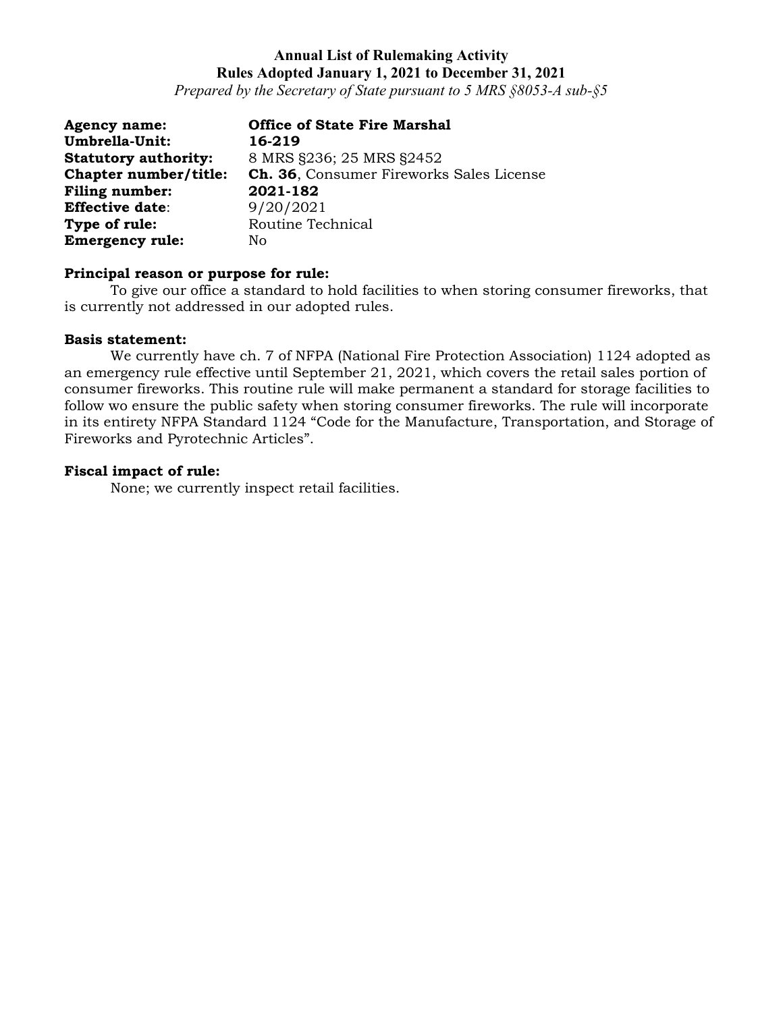*Prepared by the Secretary of State pursuant to 5 MRS §8053-A sub-§5*

| <b>Agency name:</b>         | <b>Office of State Fire Marshal</b>      |
|-----------------------------|------------------------------------------|
| Umbrella-Unit:              | 16-219                                   |
| <b>Statutory authority:</b> | 8 MRS §236; 25 MRS §2452                 |
| Chapter number/title:       | Ch. 36, Consumer Fireworks Sales License |
| <b>Filing number:</b>       | 2021-182                                 |
| <b>Effective date:</b>      | 9/20/2021                                |
| Type of rule:               | Routine Technical                        |
| <b>Emergency rule:</b>      | No                                       |

# **Principal reason or purpose for rule:**

To give our office a standard to hold facilities to when storing consumer fireworks, that is currently not addressed in our adopted rules.

#### **Basis statement:**

We currently have ch. 7 of NFPA (National Fire Protection Association) 1124 adopted as an emergency rule effective until September 21, 2021, which covers the retail sales portion of consumer fireworks. This routine rule will make permanent a standard for storage facilities to follow wo ensure the public safety when storing consumer fireworks. The rule will incorporate in its entirety NFPA Standard 1124 "Code for the Manufacture, Transportation, and Storage of Fireworks and Pyrotechnic Articles".

#### **Fiscal impact of rule:**

None; we currently inspect retail facilities.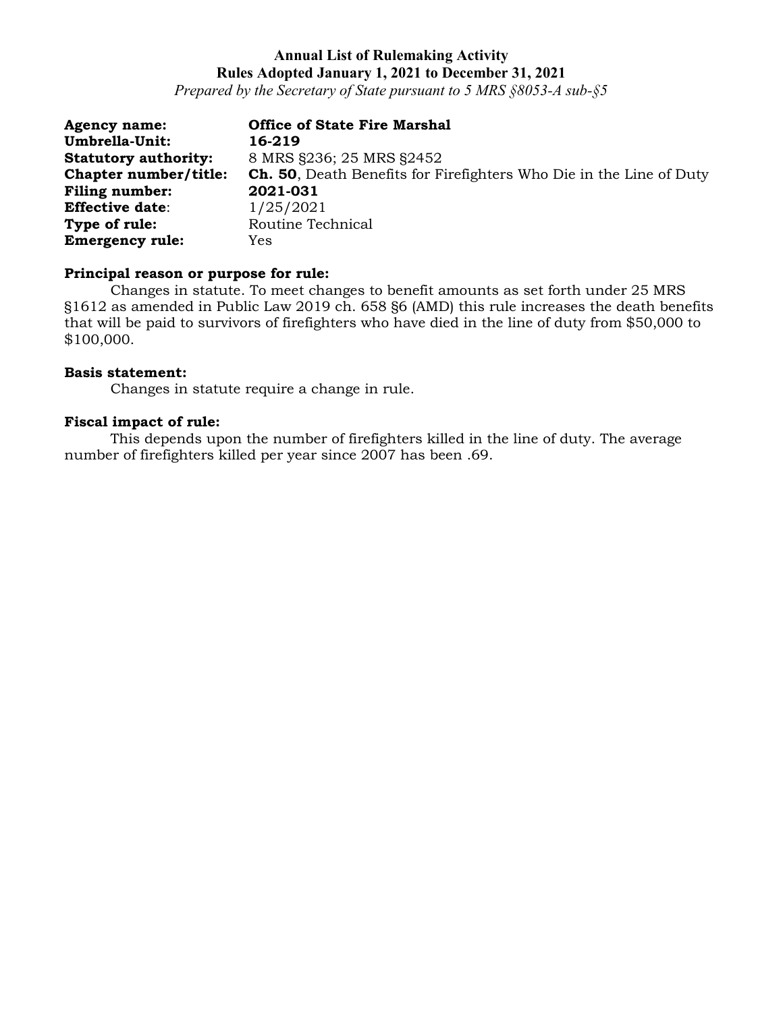*Prepared by the Secretary of State pursuant to 5 MRS §8053-A sub-§5*

| <b>Agency name:</b>         | <b>Office of State Fire Marshal</b>                                        |
|-----------------------------|----------------------------------------------------------------------------|
| Umbrella-Unit:              | 16-219                                                                     |
| <b>Statutory authority:</b> | 8 MRS §236; 25 MRS §2452                                                   |
| Chapter number/title:       | <b>Ch. 50,</b> Death Benefits for Firefighters Who Die in the Line of Duty |
| Filing number:              | 2021-031                                                                   |
| <b>Effective date:</b>      | 1/25/2021                                                                  |
| Type of rule:               | Routine Technical                                                          |
| <b>Emergency rule:</b>      | Yes                                                                        |

#### **Principal reason or purpose for rule:**

Changes in statute. To meet changes to benefit amounts as set forth under 25 MRS §1612 as amended in Public Law 2019 ch. 658 §6 (AMD) this rule increases the death benefits that will be paid to survivors of firefighters who have died in the line of duty from \$50,000 to \$100,000.

#### **Basis statement:**

Changes in statute require a change in rule.

### **Fiscal impact of rule:**

This depends upon the number of firefighters killed in the line of duty. The average number of firefighters killed per year since 2007 has been .69.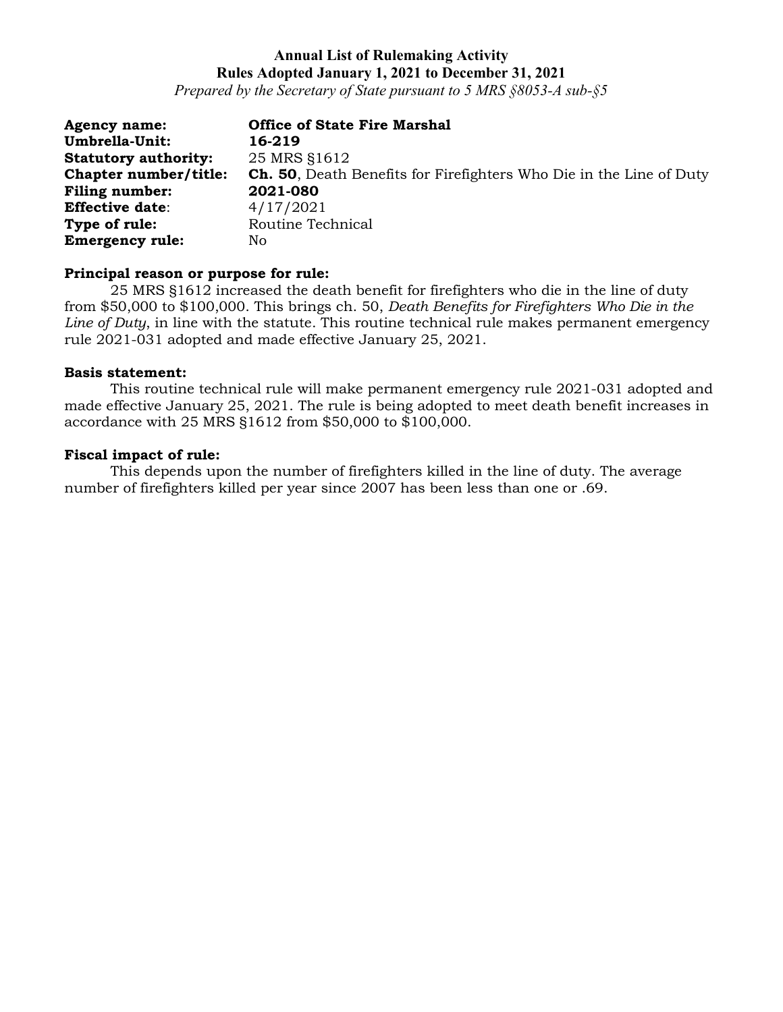*Prepared by the Secretary of State pursuant to 5 MRS §8053-A sub-§5*

| <b>Agency name:</b>         | <b>Office of State Fire Marshal</b>                                        |
|-----------------------------|----------------------------------------------------------------------------|
| Umbrella-Unit:              | 16-219                                                                     |
| <b>Statutory authority:</b> | 25 MRS \$1612                                                              |
| Chapter number/title:       | <b>Ch. 50,</b> Death Benefits for Firefighters Who Die in the Line of Duty |
| <b>Filing number:</b>       | 2021-080                                                                   |
| <b>Effective date:</b>      | 4/17/2021                                                                  |
| Type of rule:               | Routine Technical                                                          |
| <b>Emergency rule:</b>      | No                                                                         |

#### **Principal reason or purpose for rule:**

25 MRS §1612 increased the death benefit for firefighters who die in the line of duty from \$50,000 to \$100,000. This brings ch. 50, *Death Benefits for Firefighters Who Die in the Line of Duty*, in line with the statute. This routine technical rule makes permanent emergency rule 2021-031 adopted and made effective January 25, 2021.

#### **Basis statement:**

This routine technical rule will make permanent emergency rule 2021-031 adopted and made effective January 25, 2021. The rule is being adopted to meet death benefit increases in accordance with 25 MRS §1612 from \$50,000 to \$100,000.

#### **Fiscal impact of rule:**

This depends upon the number of firefighters killed in the line of duty. The average number of firefighters killed per year since 2007 has been less than one or .69.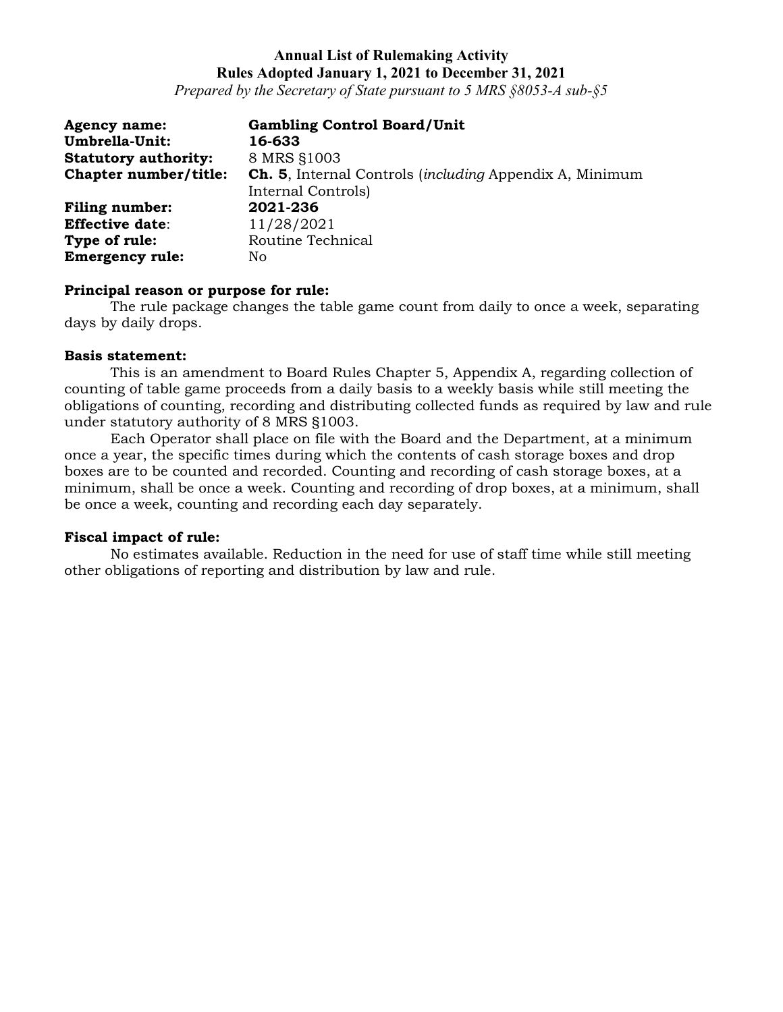*Prepared by the Secretary of State pursuant to 5 MRS §8053-A sub-§5*

| <b>Agency name:</b>         | <b>Gambling Control Board/Unit</b>                                      |
|-----------------------------|-------------------------------------------------------------------------|
| Umbrella-Unit:              | 16-633                                                                  |
| <b>Statutory authority:</b> | 8 MRS §1003                                                             |
| Chapter number/title:       | <b>Ch. 5.</b> Internal Controls <i>(including Appendix A, Minimum</i> ) |
|                             | Internal Controls)                                                      |
| <b>Filing number:</b>       | 2021-236                                                                |
| <b>Effective date:</b>      | 11/28/2021                                                              |
| Type of rule:               | Routine Technical                                                       |
| <b>Emergency rule:</b>      | No                                                                      |

#### **Principal reason or purpose for rule:**

The rule package changes the table game count from daily to once a week, separating days by daily drops.

#### **Basis statement:**

This is an amendment to Board Rules Chapter 5, Appendix A, regarding collection of counting of table game proceeds from a daily basis to a weekly basis while still meeting the obligations of counting, recording and distributing collected funds as required by law and rule under statutory authority of 8 MRS §1003.

Each Operator shall place on file with the Board and the Department, at a minimum once a year, the specific times during which the contents of cash storage boxes and drop boxes are to be counted and recorded. Counting and recording of cash storage boxes, at a minimum, shall be once a week. Counting and recording of drop boxes, at a minimum, shall be once a week, counting and recording each day separately.

#### **Fiscal impact of rule:**

No estimates available. Reduction in the need for use of staff time while still meeting other obligations of reporting and distribution by law and rule.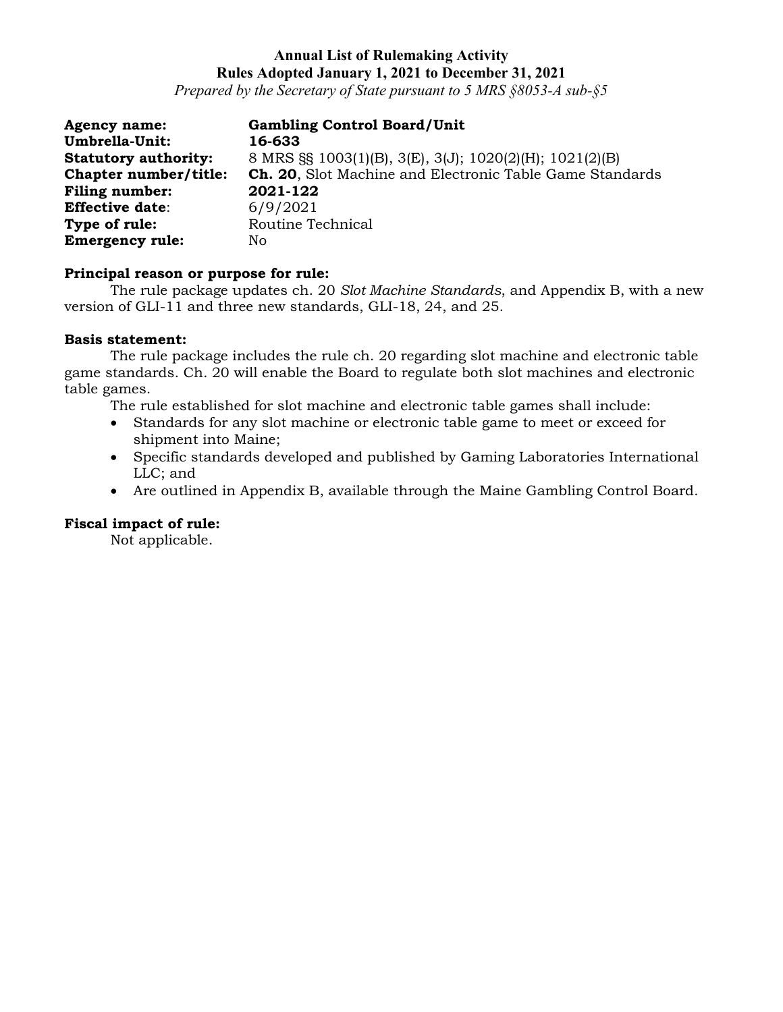*Prepared by the Secretary of State pursuant to 5 MRS §8053-A sub-§5*

| <b>Agency name:</b>         | <b>Gambling Control Board/Unit</b>                              |
|-----------------------------|-----------------------------------------------------------------|
| Umbrella-Unit:              | 16-633                                                          |
| <b>Statutory authority:</b> | 8 MRS §§ 1003(1)(B), 3(E), 3(J); 1020(2)(H); 1021(2)(B)         |
| Chapter number/title:       | <b>Ch. 20, Slot Machine and Electronic Table Game Standards</b> |
| <b>Filing number:</b>       | 2021-122                                                        |
| <b>Effective date:</b>      | 6/9/2021                                                        |
| Type of rule:               | Routine Technical                                               |
| <b>Emergency rule:</b>      | No.                                                             |

#### **Principal reason or purpose for rule:**

The rule package updates ch. 20 *Slot Machine Standards*, and Appendix B, with a new version of GLI-11 and three new standards, GLI-18, 24, and 25.

### **Basis statement:**

The rule package includes the rule ch. 20 regarding slot machine and electronic table game standards. Ch. 20 will enable the Board to regulate both slot machines and electronic table games.

The rule established for slot machine and electronic table games shall include:

- Standards for any slot machine or electronic table game to meet or exceed for shipment into Maine;
- Specific standards developed and published by Gaming Laboratories International LLC; and
- Are outlined in Appendix B, available through the Maine Gambling Control Board.

### **Fiscal impact of rule:**

Not applicable.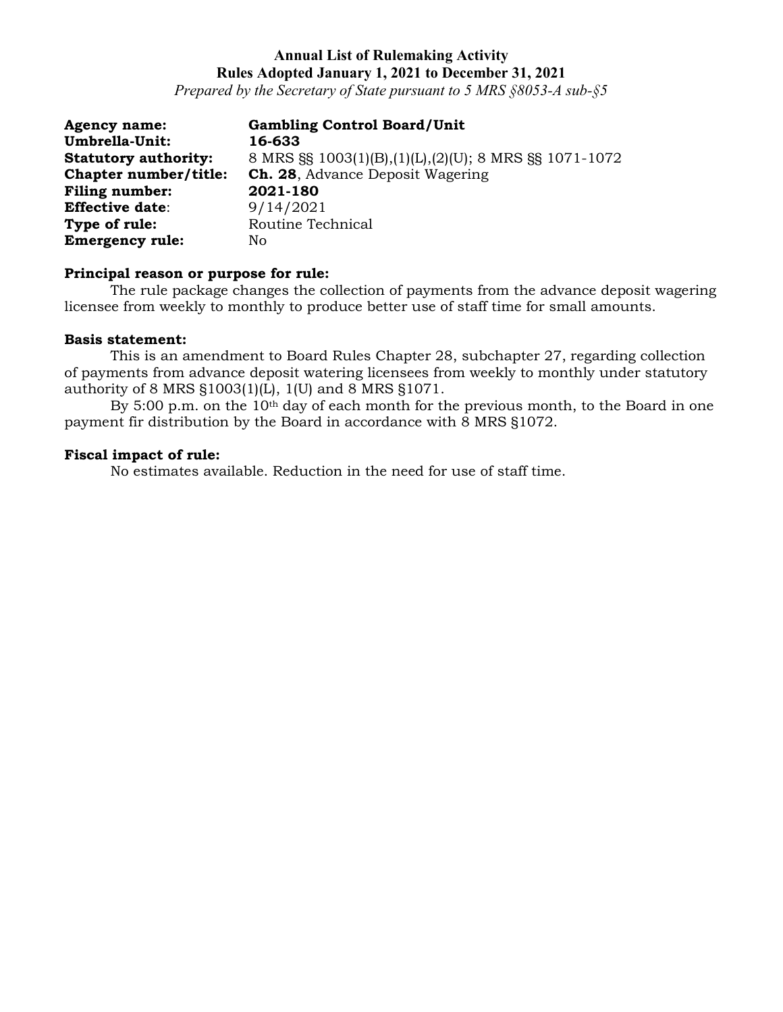*Prepared by the Secretary of State pursuant to 5 MRS §8053-A sub-§5*

| <b>Agency name:</b>         | <b>Gambling Control Board/Unit</b>                    |
|-----------------------------|-------------------------------------------------------|
| Umbrella-Unit:              | 16-633                                                |
| <b>Statutory authority:</b> | 8 MRS §§ 1003(1)(B),(1)(L),(2)(U); 8 MRS §§ 1071-1072 |
| Chapter number/title:       | <b>Ch. 28, Advance Deposit Wagering</b>               |
| <b>Filing number:</b>       | 2021-180                                              |
| <b>Effective date:</b>      | 9/14/2021                                             |
| Type of rule:               | Routine Technical                                     |
| <b>Emergency rule:</b>      | No                                                    |

# **Principal reason or purpose for rule:**

The rule package changes the collection of payments from the advance deposit wagering licensee from weekly to monthly to produce better use of staff time for small amounts.

#### **Basis statement:**

This is an amendment to Board Rules Chapter 28, subchapter 27, regarding collection of payments from advance deposit watering licensees from weekly to monthly under statutory authority of 8 MRS §1003(1)(L), 1(U) and 8 MRS §1071.

By 5:00 p.m. on the 10<sup>th</sup> day of each month for the previous month, to the Board in one payment fir distribution by the Board in accordance with 8 MRS §1072.

#### **Fiscal impact of rule:**

No estimates available. Reduction in the need for use of staff time.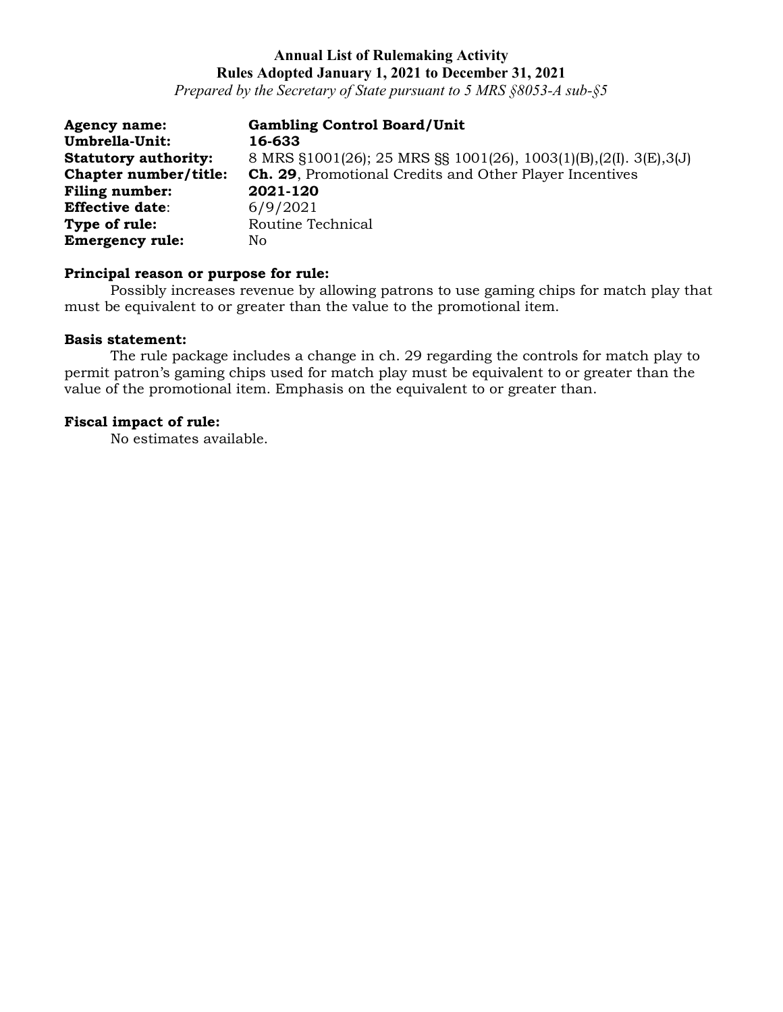*Prepared by the Secretary of State pursuant to 5 MRS §8053-A sub-§5*

| <b>Agency name:</b>         | <b>Gambling Control Board/Unit</b>                               |
|-----------------------------|------------------------------------------------------------------|
| Umbrella-Unit:              | 16-633                                                           |
| <b>Statutory authority:</b> | 8 MRS §1001(26); 25 MRS §§ 1001(26), 1003(1)(B),(2(I). 3(E),3(J) |
| Chapter number/title:       | <b>Ch. 29.</b> Promotional Credits and Other Player Incentives   |
| <b>Filing number:</b>       | 2021-120                                                         |
| <b>Effective date:</b>      | 6/9/2021                                                         |
| Type of rule:               | Routine Technical                                                |
| <b>Emergency rule:</b>      | No                                                               |

# **Principal reason or purpose for rule:**

Possibly increases revenue by allowing patrons to use gaming chips for match play that must be equivalent to or greater than the value to the promotional item.

#### **Basis statement:**

The rule package includes a change in ch. 29 regarding the controls for match play to permit patron's gaming chips used for match play must be equivalent to or greater than the value of the promotional item. Emphasis on the equivalent to or greater than.

### **Fiscal impact of rule:**

No estimates available.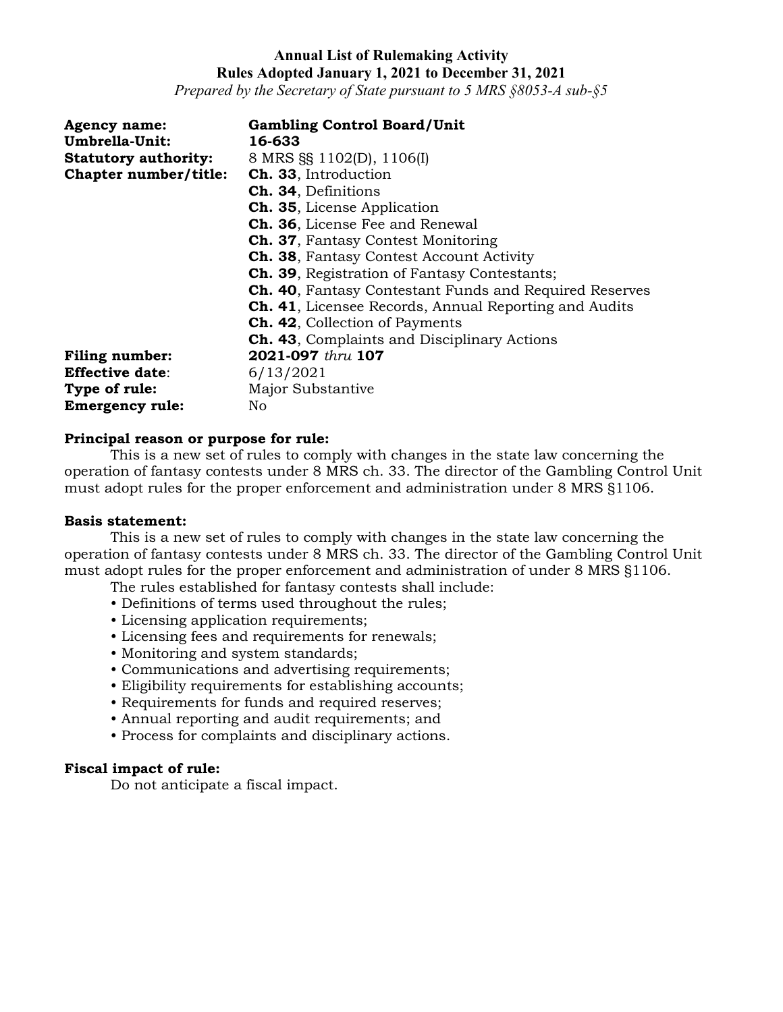*Prepared by the Secretary of State pursuant to 5 MRS §8053-A sub-§5*

| <b>Agency name:</b>         | <b>Gambling Control Board/Unit</b>                            |
|-----------------------------|---------------------------------------------------------------|
| Umbrella-Unit:              | 16-633                                                        |
| <b>Statutory authority:</b> | 8 MRS §§ 1102(D), 1106(I)                                     |
| Chapter number/title:       | Ch. 33, Introduction                                          |
|                             | Ch. 34, Definitions                                           |
|                             | <b>Ch. 35, License Application</b>                            |
|                             | <b>Ch. 36, License Fee and Renewal</b>                        |
|                             | <b>Ch. 37, Fantasy Contest Monitoring</b>                     |
|                             | <b>Ch. 38, Fantasy Contest Account Activity</b>               |
|                             | <b>Ch. 39.</b> Registration of Fantasy Contestants;           |
|                             | <b>Ch. 40, Fantasy Contestant Funds and Required Reserves</b> |
|                             | <b>Ch. 41, Licensee Records, Annual Reporting and Audits</b>  |
|                             | <b>Ch. 42, Collection of Payments</b>                         |
|                             | <b>Ch. 43, Complaints and Disciplinary Actions</b>            |
| <b>Filing number:</b>       | 2021-097 thru 107                                             |
| <b>Effective date:</b>      | 6/13/2021                                                     |
| Type of rule:               | Major Substantive                                             |
| <b>Emergency rule:</b>      | No                                                            |

#### **Principal reason or purpose for rule:**

This is a new set of rules to comply with changes in the state law concerning the operation of fantasy contests under 8 MRS ch. 33. The director of the Gambling Control Unit must adopt rules for the proper enforcement and administration under 8 MRS §1106.

#### **Basis statement:**

This is a new set of rules to comply with changes in the state law concerning the operation of fantasy contests under 8 MRS ch. 33. The director of the Gambling Control Unit must adopt rules for the proper enforcement and administration of under 8 MRS §1106.

The rules established for fantasy contests shall include:

- Definitions of terms used throughout the rules;
- Licensing application requirements;
- Licensing fees and requirements for renewals;
- Monitoring and system standards;
- Communications and advertising requirements;
- Eligibility requirements for establishing accounts;
- Requirements for funds and required reserves;
- Annual reporting and audit requirements; and
- Process for complaints and disciplinary actions.

#### **Fiscal impact of rule:**

Do not anticipate a fiscal impact.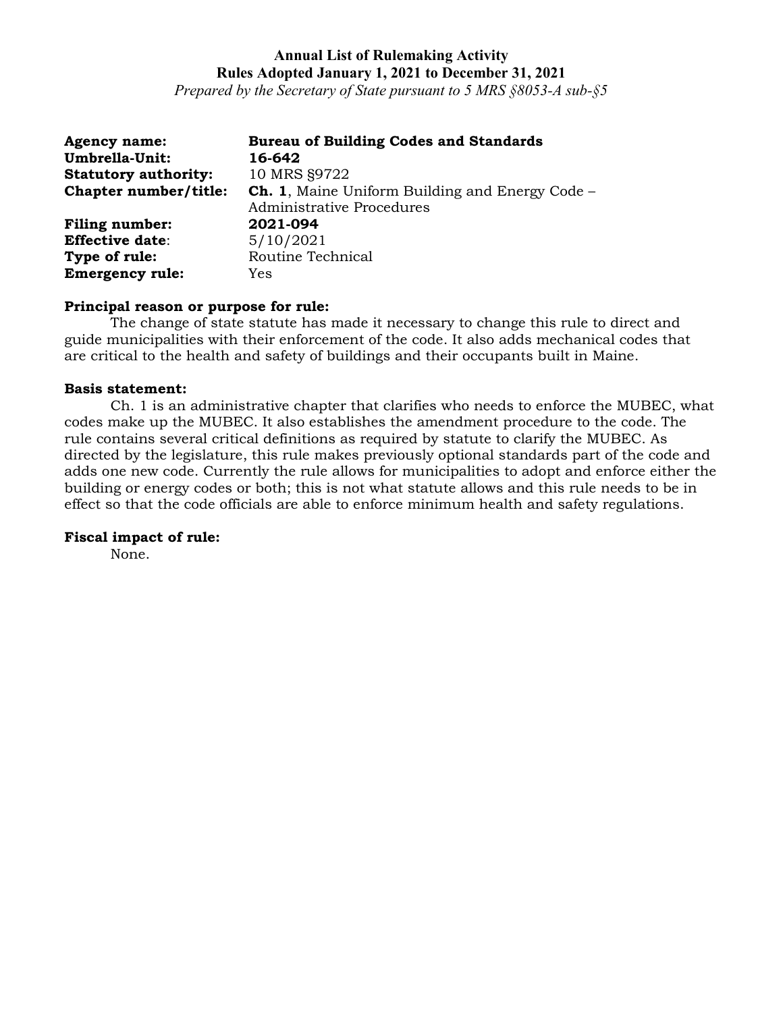*Prepared by the Secretary of State pursuant to 5 MRS §8053-A sub-§5*

| <b>Agency name:</b>         | <b>Bureau of Building Codes and Standards</b>          |
|-----------------------------|--------------------------------------------------------|
| Umbrella-Unit:              | 16-642                                                 |
| <b>Statutory authority:</b> | 10 MRS §9722                                           |
| Chapter number/title:       | <b>Ch. 1, Maine Uniform Building and Energy Code –</b> |
|                             | <b>Administrative Procedures</b>                       |
| <b>Filing number:</b>       | 2021-094                                               |
| <b>Effective date:</b>      | 5/10/2021                                              |
| Type of rule:               | Routine Technical                                      |
| <b>Emergency rule:</b>      | Yes                                                    |

#### **Principal reason or purpose for rule:**

The change of state statute has made it necessary to change this rule to direct and guide municipalities with their enforcement of the code. It also adds mechanical codes that are critical to the health and safety of buildings and their occupants built in Maine.

### **Basis statement:**

Ch. 1 is an administrative chapter that clarifies who needs to enforce the MUBEC, what codes make up the MUBEC. It also establishes the amendment procedure to the code. The rule contains several critical definitions as required by statute to clarify the MUBEC. As directed by the legislature, this rule makes previously optional standards part of the code and adds one new code. Currently the rule allows for municipalities to adopt and enforce either the building or energy codes or both; this is not what statute allows and this rule needs to be in effect so that the code officials are able to enforce minimum health and safety regulations.

### **Fiscal impact of rule:**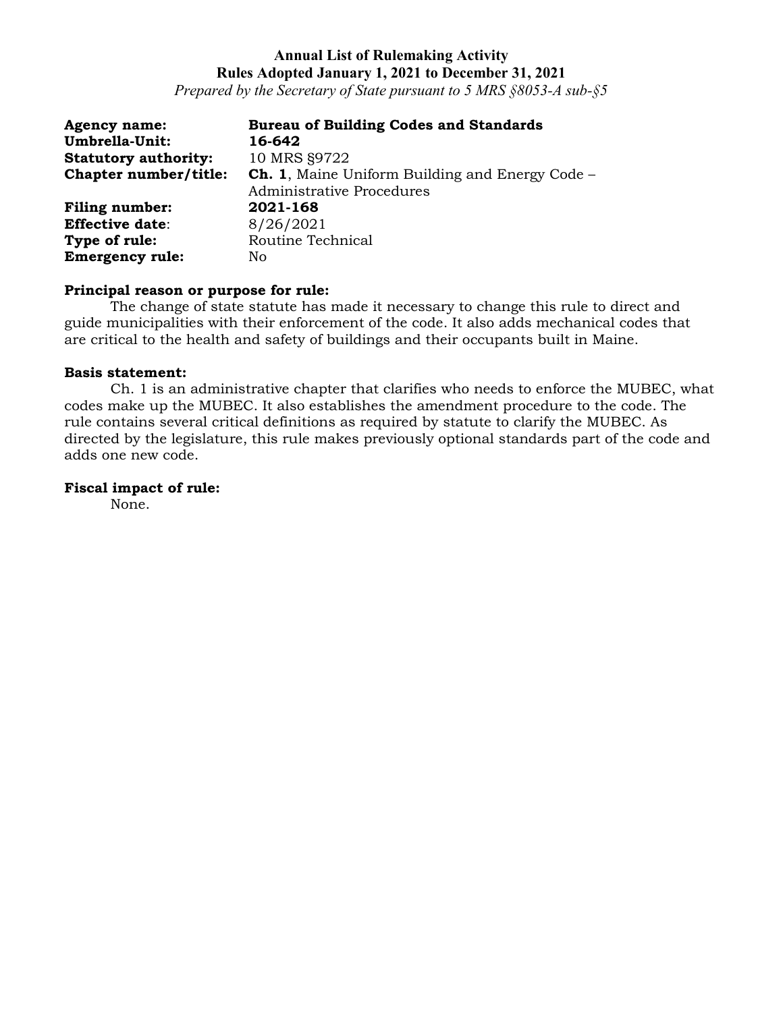*Prepared by the Secretary of State pursuant to 5 MRS §8053-A sub-§5*

| <b>Agency name:</b>         | <b>Bureau of Building Codes and Standards</b>          |
|-----------------------------|--------------------------------------------------------|
| Umbrella-Unit:              | 16-642                                                 |
| <b>Statutory authority:</b> | 10 MRS §9722                                           |
| Chapter number/title:       | <b>Ch. 1, Maine Uniform Building and Energy Code -</b> |
|                             | Administrative Procedures                              |
| <b>Filing number:</b>       | 2021-168                                               |
| <b>Effective date:</b>      | 8/26/2021                                              |
| Type of rule:               | Routine Technical                                      |
| <b>Emergency rule:</b>      | No                                                     |

#### **Principal reason or purpose for rule:**

The change of state statute has made it necessary to change this rule to direct and guide municipalities with their enforcement of the code. It also adds mechanical codes that are critical to the health and safety of buildings and their occupants built in Maine.

#### **Basis statement:**

Ch. 1 is an administrative chapter that clarifies who needs to enforce the MUBEC, what codes make up the MUBEC. It also establishes the amendment procedure to the code. The rule contains several critical definitions as required by statute to clarify the MUBEC. As directed by the legislature, this rule makes previously optional standards part of the code and adds one new code.

### **Fiscal impact of rule:**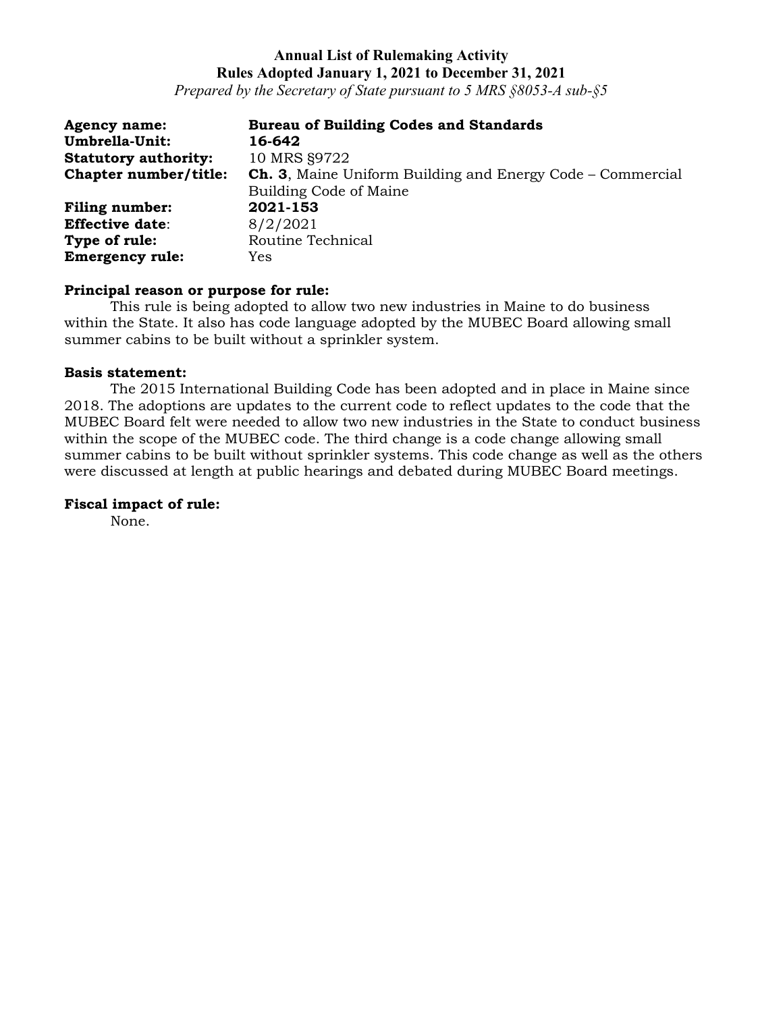*Prepared by the Secretary of State pursuant to 5 MRS §8053-A sub-§5*

| <b>Agency name:</b>         | <b>Bureau of Building Codes and Standards</b>                     |
|-----------------------------|-------------------------------------------------------------------|
| Umbrella-Unit:              | 16-642                                                            |
| <b>Statutory authority:</b> | 10 MRS §9722                                                      |
| Chapter number/title:       | <b>Ch. 3, Maine Uniform Building and Energy Code – Commercial</b> |
|                             | Building Code of Maine                                            |
| <b>Filing number:</b>       | 2021-153                                                          |
| <b>Effective date:</b>      | 8/2/2021                                                          |
| Type of rule:               | Routine Technical                                                 |
| <b>Emergency rule:</b>      | Yes                                                               |

#### **Principal reason or purpose for rule:**

This rule is being adopted to allow two new industries in Maine to do business within the State. It also has code language adopted by the MUBEC Board allowing small summer cabins to be built without a sprinkler system.

#### **Basis statement:**

The 2015 International Building Code has been adopted and in place in Maine since 2018. The adoptions are updates to the current code to reflect updates to the code that the MUBEC Board felt were needed to allow two new industries in the State to conduct business within the scope of the MUBEC code. The third change is a code change allowing small summer cabins to be built without sprinkler systems. This code change as well as the others were discussed at length at public hearings and debated during MUBEC Board meetings.

#### **Fiscal impact of rule:**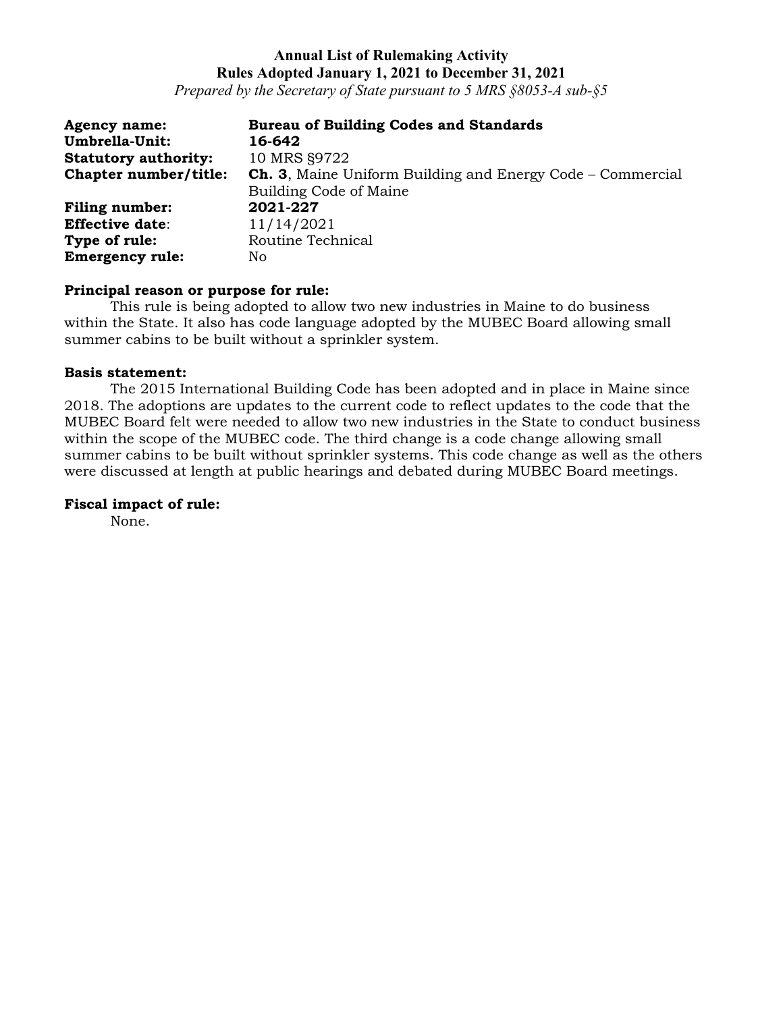*Prepared by the Secretary of State pursuant to 5 MRS §8053-A sub-§5*

| <b>Agency name:</b>         | <b>Bureau of Building Codes and Standards</b>                     |
|-----------------------------|-------------------------------------------------------------------|
| Umbrella-Unit:              | 16-642                                                            |
| <b>Statutory authority:</b> | 10 MRS §9722                                                      |
| Chapter number/title:       | <b>Ch. 3, Maine Uniform Building and Energy Code – Commercial</b> |
|                             | Building Code of Maine                                            |
| <b>Filing number:</b>       | 2021-227                                                          |
| <b>Effective date:</b>      | 11/14/2021                                                        |
| Type of rule:               | Routine Technical                                                 |
| <b>Emergency rule:</b>      | No.                                                               |

#### **Principal reason or purpose for rule:**

This rule is being adopted to allow two new industries in Maine to do business within the State. It also has code language adopted by the MUBEC Board allowing small summer cabins to be built without a sprinkler system.

### **Basis statement:**

The 2015 International Building Code has been adopted and in place in Maine since 2018. The adoptions are updates to the current code to reflect updates to the code that the MUBEC Board felt were needed to allow two new industries in the State to conduct business within the scope of the MUBEC code. The third change is a code change allowing small summer cabins to be built without sprinkler systems. This code change as well as the others were discussed at length at public hearings and debated during MUBEC Board meetings.

### **Fiscal impact of rule:**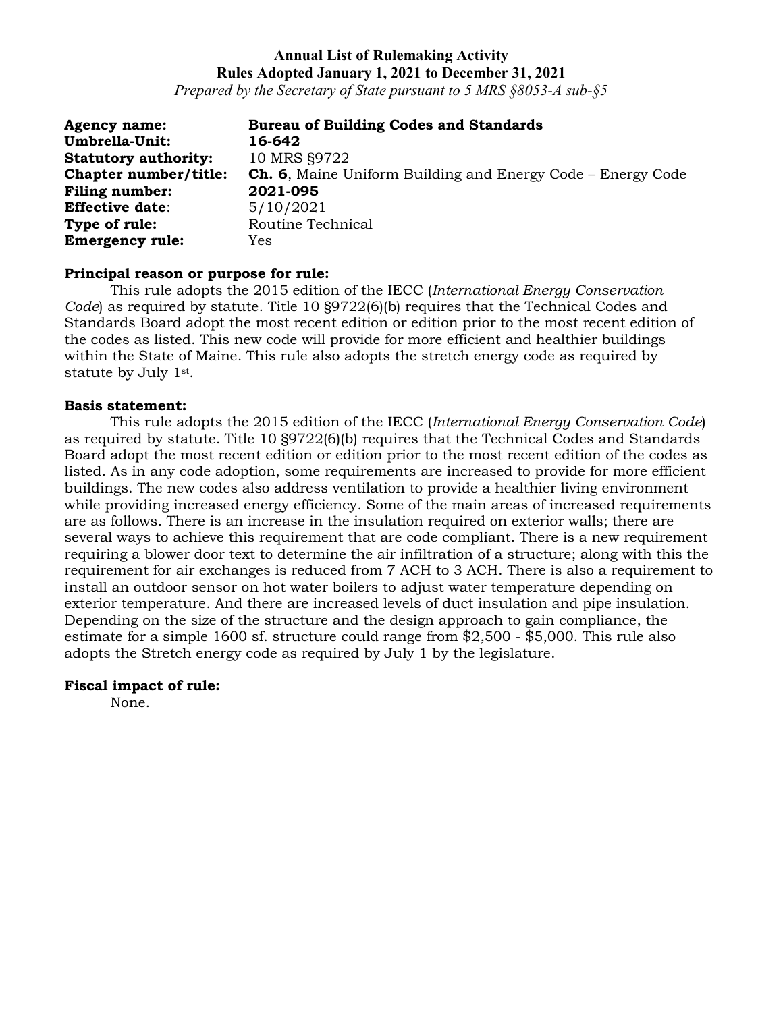*Prepared by the Secretary of State pursuant to 5 MRS §8053-A sub-§5*

| <b>Agency name:</b>          | <b>Bureau of Building Codes and Standards</b>                      |
|------------------------------|--------------------------------------------------------------------|
| <b>Umbrella-Unit:</b>        | 16-642                                                             |
| <b>Statutory authority:</b>  | 10 MRS §9722                                                       |
| <b>Chapter number/title:</b> | <b>Ch. 6,</b> Maine Uniform Building and Energy Code – Energy Code |
| <b>Filing number:</b>        | 2021-095                                                           |
| <b>Effective date:</b>       | 5/10/2021                                                          |
| Type of rule:                | Routine Technical                                                  |
| <b>Emergency rule:</b>       | Yes                                                                |

#### **Principal reason or purpose for rule:**

This rule adopts the 2015 edition of the IECC (*International Energy Conservation Code*) as required by statute. Title 10 §9722(6)(b) requires that the Technical Codes and Standards Board adopt the most recent edition or edition prior to the most recent edition of the codes as listed. This new code will provide for more efficient and healthier buildings within the State of Maine. This rule also adopts the stretch energy code as required by statute by July 1st.

#### **Basis statement:**

This rule adopts the 2015 edition of the IECC (*International Energy Conservation Code*) as required by statute. Title 10 §9722(6)(b) requires that the Technical Codes and Standards Board adopt the most recent edition or edition prior to the most recent edition of the codes as listed. As in any code adoption, some requirements are increased to provide for more efficient buildings. The new codes also address ventilation to provide a healthier living environment while providing increased energy efficiency. Some of the main areas of increased requirements are as follows. There is an increase in the insulation required on exterior walls; there are several ways to achieve this requirement that are code compliant. There is a new requirement requiring a blower door text to determine the air infiltration of a structure; along with this the requirement for air exchanges is reduced from 7 ACH to 3 ACH. There is also a requirement to install an outdoor sensor on hot water boilers to adjust water temperature depending on exterior temperature. And there are increased levels of duct insulation and pipe insulation. Depending on the size of the structure and the design approach to gain compliance, the estimate for a simple 1600 sf. structure could range from \$2,500 - \$5,000. This rule also adopts the Stretch energy code as required by July 1 by the legislature.

#### **Fiscal impact of rule:**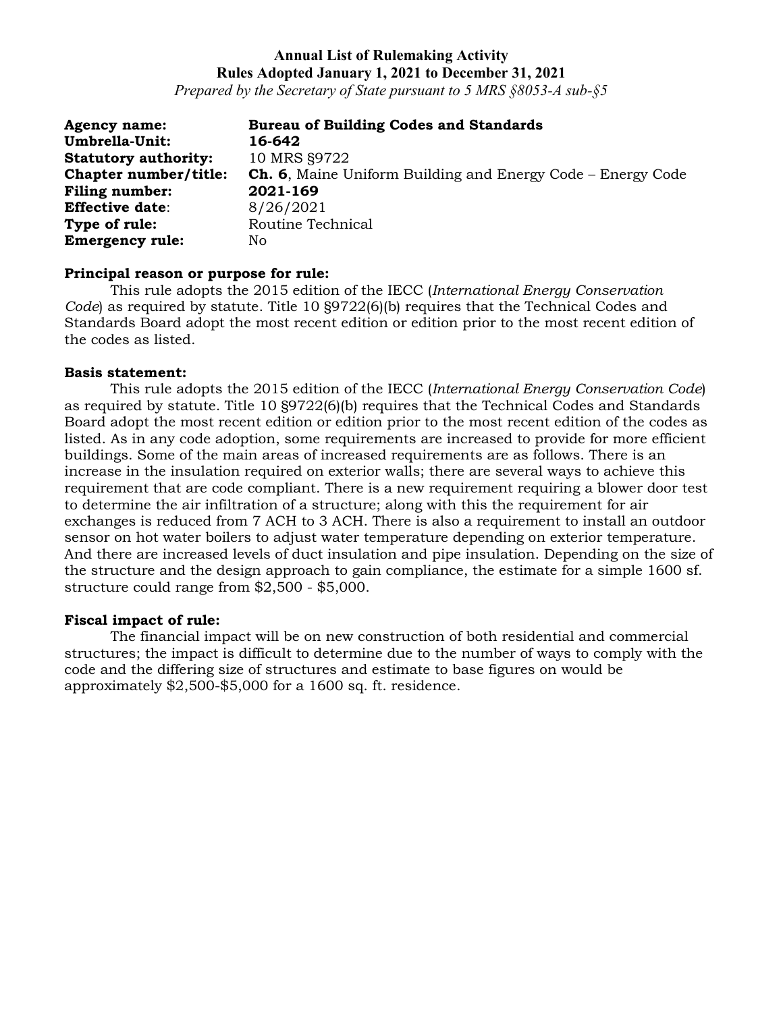*Prepared by the Secretary of State pursuant to 5 MRS §8053-A sub-§5*

| <b>Agency name:</b>         | <b>Bureau of Building Codes and Standards</b>                      |
|-----------------------------|--------------------------------------------------------------------|
| Umbrella-Unit:              | 16-642                                                             |
| <b>Statutory authority:</b> | 10 MRS §9722                                                       |
| Chapter number/title:       | <b>Ch. 6,</b> Maine Uniform Building and Energy Code – Energy Code |
| <b>Filing number:</b>       | 2021-169                                                           |
| <b>Effective date:</b>      | 8/26/2021                                                          |
| Type of rule:               | Routine Technical                                                  |
| <b>Emergency rule:</b>      | No                                                                 |

#### **Principal reason or purpose for rule:**

This rule adopts the 2015 edition of the IECC (*International Energy Conservation Code*) as required by statute. Title 10 §9722(6)(b) requires that the Technical Codes and Standards Board adopt the most recent edition or edition prior to the most recent edition of the codes as listed.

#### **Basis statement:**

This rule adopts the 2015 edition of the IECC (*International Energy Conservation Code*) as required by statute. Title 10 §9722(6)(b) requires that the Technical Codes and Standards Board adopt the most recent edition or edition prior to the most recent edition of the codes as listed. As in any code adoption, some requirements are increased to provide for more efficient buildings. Some of the main areas of increased requirements are as follows. There is an increase in the insulation required on exterior walls; there are several ways to achieve this requirement that are code compliant. There is a new requirement requiring a blower door test to determine the air infiltration of a structure; along with this the requirement for air exchanges is reduced from 7 ACH to 3 ACH. There is also a requirement to install an outdoor sensor on hot water boilers to adjust water temperature depending on exterior temperature. And there are increased levels of duct insulation and pipe insulation. Depending on the size of the structure and the design approach to gain compliance, the estimate for a simple 1600 sf. structure could range from \$2,500 - \$5,000.

#### **Fiscal impact of rule:**

The financial impact will be on new construction of both residential and commercial structures; the impact is difficult to determine due to the number of ways to comply with the code and the differing size of structures and estimate to base figures on would be approximately \$2,500-\$5,000 for a 1600 sq. ft. residence.